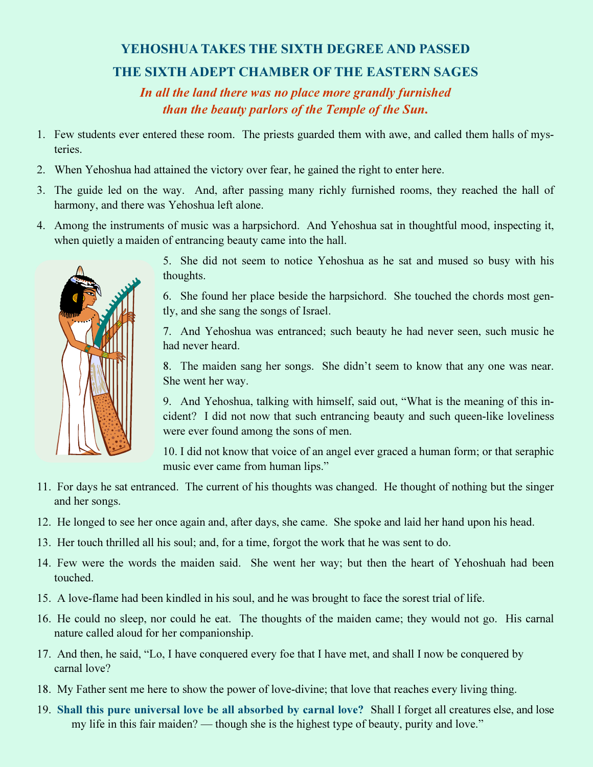## YEHOSHUA TAKES THE SIXTH DEGREE AND PASSED THE SIXTH ADEPT CHAMBER OF THE EASTERN SAGES

In all the land there was no place more grandly furnished than the beauty parlors of the Temple of the Sun.

- 1. Few students ever entered these room. The priests guarded them with awe, and called them halls of mysteries.
- 2. When Yehoshua had attained the victory over fear, he gained the right to enter here.
- 3. The guide led on the way. And, after passing many richly furnished rooms, they reached the hall of harmony, and there was Yehoshua left alone.
- 4. Among the instruments of music was a harpsichord. And Yehoshua sat in thoughtful mood, inspecting it, when quietly a maiden of entrancing beauty came into the hall.



5. She did not seem to notice Yehoshua as he sat and mused so busy with his thoughts.

6. She found her place beside the harpsichord. She touched the chords most gently, and she sang the songs of Israel.

7. And Yehoshua was entranced; such beauty he had never seen, such music he had never heard.

8. The maiden sang her songs. She didn't seem to know that any one was near. She went her way.

9. And Yehoshua, talking with himself, said out, "What is the meaning of this incident? I did not now that such entrancing beauty and such queen-like loveliness were ever found among the sons of men.

10. I did not know that voice of an angel ever graced a human form; or that seraphic music ever came from human lips."

- 11. For days he sat entranced. The current of his thoughts was changed. He thought of nothing but the singer and her songs.
- 12. He longed to see her once again and, after days, she came. She spoke and laid her hand upon his head.
- 13. Her touch thrilled all his soul; and, for a time, forgot the work that he was sent to do.
- 14. Few were the words the maiden said. She went her way; but then the heart of Yehoshuah had been touched.
- 15. A love-flame had been kindled in his soul, and he was brought to face the sorest trial of life.
- 16. He could no sleep, nor could he eat. The thoughts of the maiden came; they would not go. His carnal nature called aloud for her companionship.
- 17. And then, he said, "Lo, I have conquered every foe that I have met, and shall I now be conquered by carnal love?
- 18. My Father sent me here to show the power of love-divine; that love that reaches every living thing.
- 19. Shall this pure universal love be all absorbed by carnal love? Shall I forget all creatures else, and lose my life in this fair maiden? — though she is the highest type of beauty, purity and love."